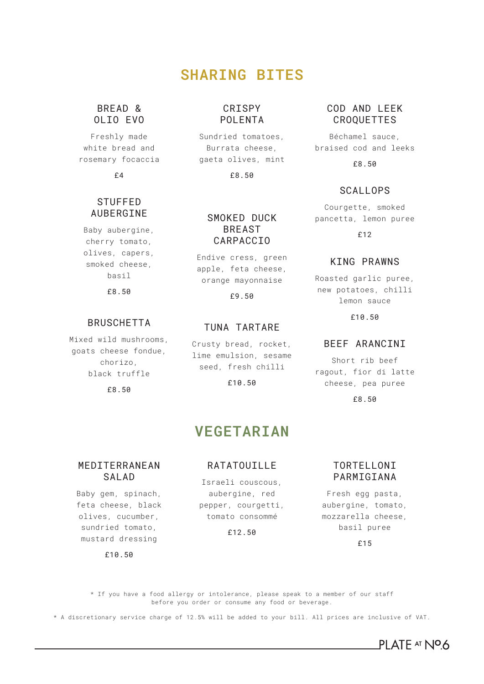## **SHARING BITES**

### BREAD & OLIO EVO

Freshly made white bread and rosemary focaccia

£4

## **STUFFFD** AUBERGINE

Baby aubergine, cherry tomato, olives, capers, smoked cheese, basil

£8.50

## BRUSCHETTA

Mixed wild mushrooms, goats cheese fondue, chorizo, black truffle

£8.50

### CRISPY POLENTA

Sundried tomatoes, Burrata cheese, gaeta olives, mint

£8.50

#### SMOKED DUCK BREAST CARPACCIO

Endive cress, green apple, feta cheese, orange mayonnaise

£9.50

#### TUNA TARTARE

Crusty bread, rocket, lime emulsion, sesame seed, fresh chilli

£10.50

## **VEGETARIAN**

#### MEDITERRANEAN SALAD.

Baby gem, spinach, feta cheese, black olives, cucumber, sundried tomato, mustard dressing

£10.50

### RATATOUILLE

Israeli couscous, aubergine, red pepper, courgetti, tomato consommé

£12.50

#### COD AND LEEK CROQUETTES

Béchamel sauce, braised cod and leeks

£8.50

### **SCALLOPS**

Courgette, smoked pancetta, lemon puree

£12

#### KING PRAWNS

Roasted garlic puree, new potatoes, chilli lemon sauce

£10.50

## BEEF ARANCINI

Short rib beef ragout, fior di latte cheese, pea puree

£8.50

TORTELLONI **PARMIGTANA** 

Fresh egg pasta, aubergine, tomato, mozzarella cheese, basil puree

£15

PI ATF AT NO6

\* If you have a food allergy or intolerance, please speak to a member of our staff before you order or consume any food or beverage.

\* A discretionary service charge of 12.5% will be added to your bill. All prices are inclusive of VAT.